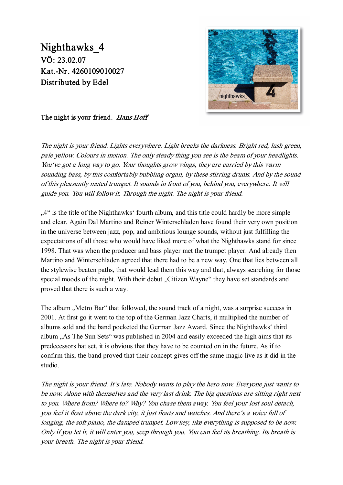## Nighthawks\_4 VÖ: 23.02.07 Kat.-Nr. 4260109010027 Distributed by Edel



The night is your friend. Hans Hoff

The night is your friend. Lights everywhere. Light breaks the darkness. Bright red, lush green, pale yellow. Colours in motion. The only steady thing you see is the beam of your headlights. You've got a long way to go. Your thoughts grow wings, they are carried by this warm sounding bass, by this comfortably bubbling organ, by these stirring drums. And by the sound of this pleasantly muted trumpet. It sounds in front of you, behind you, everywhere. It will guide you. You will follow it. Through the night. The night is your friend.

...4" is the title of the Nighthawks' fourth album, and this title could hardly be more simple and clear. Again Dal Martino and Reiner Winterschladen have found their very own position in the universe between jazz, pop, and ambitious lounge sounds, without just fulfilling the expectations of all those who would have liked more of what the Nighthawks stand for since 1998. That was when the producer and bass player met the trumpet player. And already then Martino and Winterschladen agreed that there had to be a new way. One that lies between all the stylewise beaten paths, that would lead them this way and that, always searching for those special moods of the night. With their debut "Citizen Wayne" they have set standards and proved that there is such a way.

The album . Metro Bar" that followed, the sound track of a night, was a surprise success in 2001. At first go it went to the top of the German Jazz Charts, it multiplied the number of albums sold and the band pocketed the German Jazz Award. Since the Nighthawks' third album "As The Sun Sets" was published in 2004 and easily exceeded the high aims that its predecessors hat set, it is obvious that they have to be counted on in the future. As if to confirm this, the band proved that their concept gives off the same magic live as it did in the studio.

The night is your friend. It's late. Nobody wants to play the hero now. Everyone just wants to be now. Alone with themselves and the very last drink. The big questions are sitting right next to you. Where from? Where to? Why? You chase them away. You feel your lost soul detach, you feel it float above the dark city, it just floats and watches. And there's a voice full of longing, the soft piano, the damped trumpet. Low key, like everything is supposed to be now. Only if you let it, it will enter you, seep through you. You can feel its breathing. Its breath is your breath. The night is your friend.